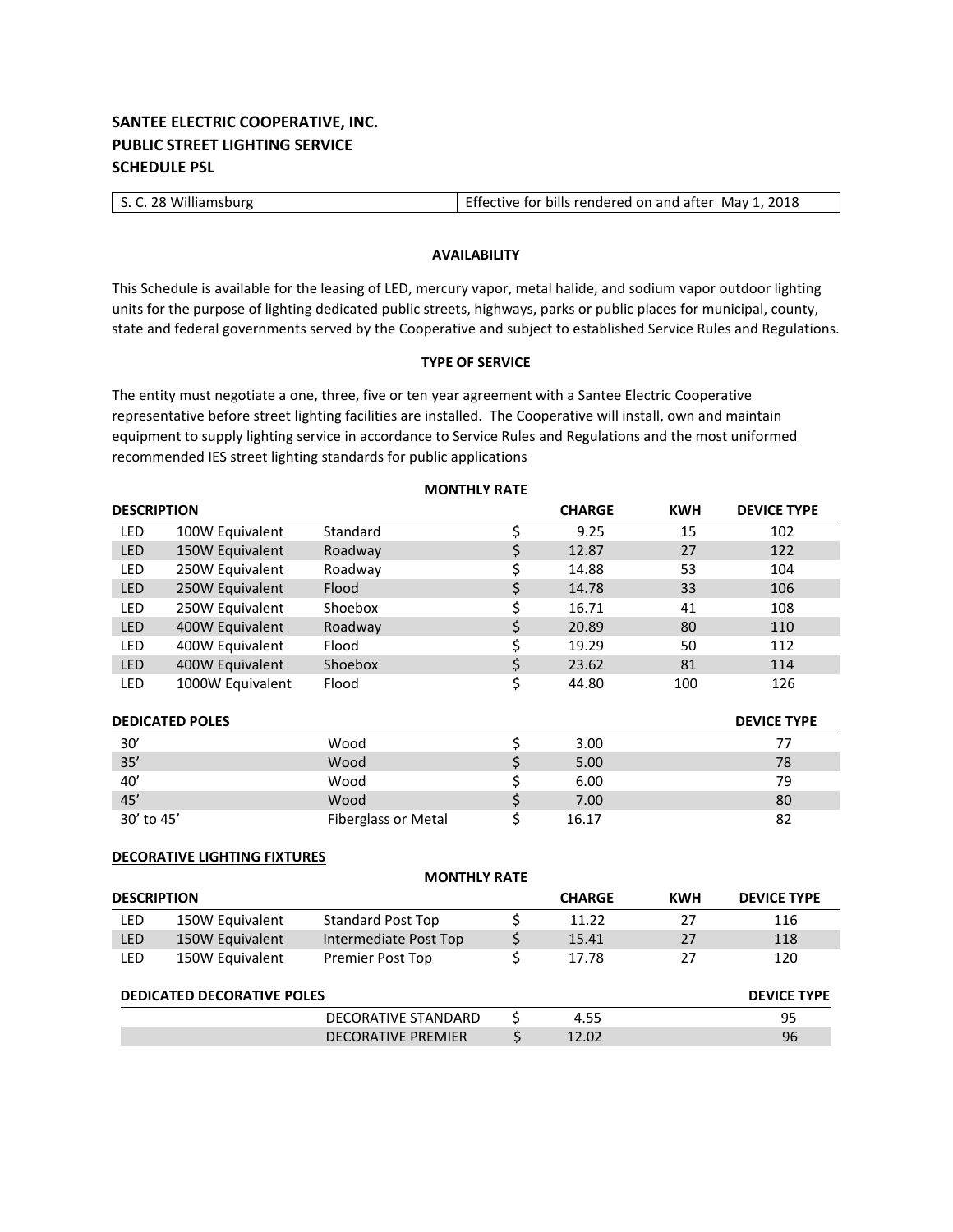# **SANTEE ELECTRIC COOPERATIVE, INC. PUBLIC STREET LIGHTING SERVICE SCHEDULE PSL**

| S. C. 28 Williamsburg | Effective for bills rendered on and after May 1, 2018 |
|-----------------------|-------------------------------------------------------|
|                       |                                                       |

## **AVAILABILITY**

This Schedule is available for the leasing of LED, mercury vapor, metal halide, and sodium vapor outdoor lighting units for the purpose of lighting dedicated public streets, highways, parks or public places for municipal, county, state and federal governments served by the Cooperative and subject to established Service Rules and Regulations.

## **TYPE OF SERVICE**

**MONTHLY RATE**

The entity must negotiate a one, three, five or ten year agreement with a Santee Electric Cooperative representative before street lighting facilities are installed. The Cooperative will install, own and maintain equipment to supply lighting service in accordance to Service Rules and Regulations and the most uniformed recommended IES street lighting standards for public applications

| <b>DESCRIPTION</b>     |                  |                            |    | <b>CHARGE</b> | <b>KWH</b> | <b>DEVICE TYPE</b> |
|------------------------|------------------|----------------------------|----|---------------|------------|--------------------|
| <b>LED</b>             | 100W Equivalent  | Standard                   | \$ | 9.25          | 15         | 102                |
| LED                    | 150W Equivalent  | Roadway                    | \$ | 12.87         | 27         | 122                |
| LED                    | 250W Equivalent  | Roadway                    |    | 14.88         | 53         | 104                |
| <b>LED</b>             | 250W Equivalent  | Flood                      | \$ | 14.78         | 33         | 106                |
| LED                    | 250W Equivalent  | Shoebox                    |    | 16.71         | 41         | 108                |
| <b>LED</b>             | 400W Equivalent  | Roadway                    | \$ | 20.89         | 80         | 110                |
| LED                    | 400W Equivalent  | Flood                      |    | 19.29         | 50         | 112                |
| <b>LED</b>             | 400W Equivalent  | Shoebox                    | \$ | 23.62         | 81         | 114                |
| <b>LED</b>             | 1000W Equivalent | Flood                      | \$ | 44.80         | 100        | 126                |
| <b>DEDICATED POLES</b> |                  |                            |    |               |            | <b>DEVICE TYPE</b> |
| 30'                    |                  | Wood                       | \$ | 3.00          |            | 77                 |
| 35'                    |                  | Wood                       | \$ | 5.00          |            | 78                 |
| 40'                    |                  | Wood                       | \$ | 6.00          |            | 79                 |
| 45'                    |                  | Wood                       | \$ | 7.00          |            | 80                 |
| 30' to 45'             |                  | <b>Fiberglass or Metal</b> | \$ | 16.17         |            | 82                 |

### **DECORATIVE LIGHTING FIXTURES**

| <b>MONTHLY RATE</b>               |                 |                            |   |               |            |                    |  |  |
|-----------------------------------|-----------------|----------------------------|---|---------------|------------|--------------------|--|--|
| <b>DESCRIPTION</b>                |                 |                            |   | <b>CHARGE</b> | <b>KWH</b> | <b>DEVICE TYPE</b> |  |  |
| LED                               | 150W Equivalent | <b>Standard Post Top</b>   |   | 11.22         | 27         | 116                |  |  |
| <b>LED</b>                        | 150W Equivalent | Intermediate Post Top      |   | 15.41         | 27         | 118                |  |  |
| <b>LED</b>                        | 150W Equivalent | Premier Post Top           |   | 17.78         | 27         | 120                |  |  |
| <b>DEDICATED DECORATIVE POLES</b> |                 |                            |   |               |            | <b>DEVICE TYPE</b> |  |  |
|                                   |                 | <b>DECORATIVE STANDARD</b> | S | 4.55          |            | 95                 |  |  |
|                                   |                 | <b>DECORATIVE PREMIER</b>  |   | 12.02         |            | 96                 |  |  |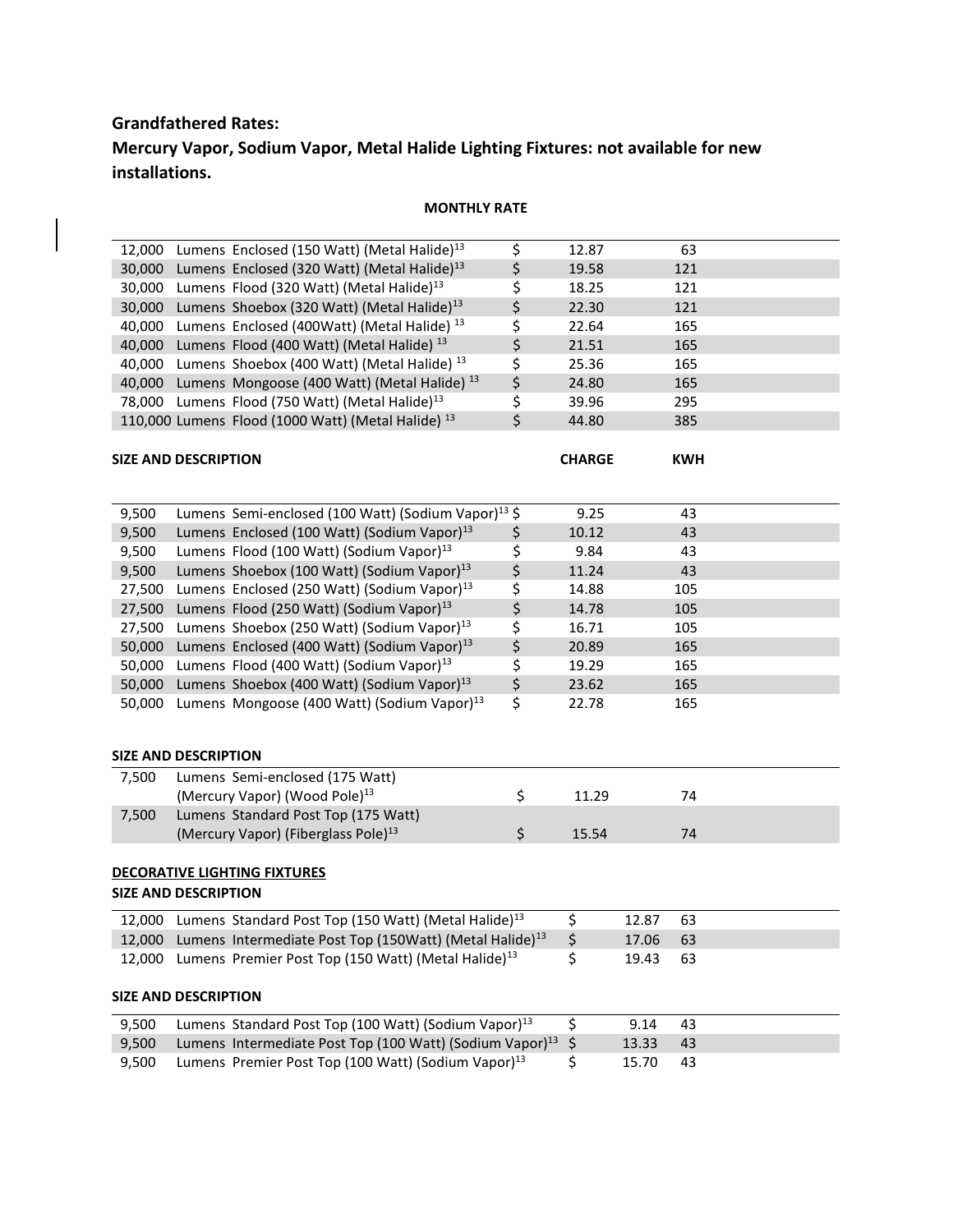# **Grandfathered Rates: Mercury Vapor, Sodium Vapor, Metal Halide Lighting Fixtures: not available for new installations.**

# **MONTHLY RATE**

| 12,000                                                             |                                                                      | Lumens Enclosed (150 Watt) (Metal Halide) <sup>13</sup>                       | \$                   | 12.87         |       | 63         |  |
|--------------------------------------------------------------------|----------------------------------------------------------------------|-------------------------------------------------------------------------------|----------------------|---------------|-------|------------|--|
| 30,000                                                             |                                                                      | Lumens Enclosed (320 Watt) (Metal Halide) <sup>13</sup>                       | \$                   | 19.58         |       | 121        |  |
| 30,000                                                             |                                                                      | Lumens Flood (320 Watt) (Metal Halide) <sup>13</sup>                          | \$                   | 18.25         |       | 121        |  |
| 30,000                                                             |                                                                      | Lumens Shoebox (320 Watt) (Metal Halide) $^{13}$                              | \$                   | 22.30         |       | 121        |  |
| 40,000                                                             |                                                                      | Lumens Enclosed (400Watt) (Metal Halide) <sup>13</sup>                        | \$                   | 22.64         |       | 165        |  |
| 40,000                                                             |                                                                      | Lumens Flood (400 Watt) (Metal Halide) <sup>13</sup>                          | \$                   | 21.51         |       | 165        |  |
| 40,000                                                             |                                                                      | Lumens Shoebox (400 Watt) (Metal Halide) <sup>13</sup>                        | \$                   | 25.36         |       | 165        |  |
|                                                                    |                                                                      | 40,000 Lumens Mongoose (400 Watt) (Metal Halide) <sup>13</sup>                | \$                   | 24.80         |       | 165        |  |
|                                                                    |                                                                      | 78,000 Lumens Flood (750 Watt) (Metal Halide) <sup>13</sup>                   | \$                   | 39.96         |       | 295        |  |
|                                                                    |                                                                      | 110,000 Lumens Flood (1000 Watt) (Metal Halide) <sup>13</sup>                 | \$                   | 44.80         |       | 385        |  |
|                                                                    |                                                                      |                                                                               |                      |               |       |            |  |
| <b>SIZE AND DESCRIPTION</b>                                        |                                                                      |                                                                               |                      | <b>CHARGE</b> |       | <b>KWH</b> |  |
|                                                                    |                                                                      |                                                                               |                      |               |       |            |  |
|                                                                    |                                                                      |                                                                               |                      |               |       |            |  |
| 9,500                                                              |                                                                      | Lumens Semi-enclosed (100 Watt) (Sodium Vapor) <sup>13</sup> \$               |                      | 9.25          |       | 43         |  |
| 9,500                                                              |                                                                      | Lumens Enclosed (100 Watt) (Sodium Vapor) <sup>13</sup>                       | \$                   | 10.12         |       | 43         |  |
| 9,500                                                              |                                                                      | Lumens Flood (100 Watt) (Sodium Vapor) <sup>13</sup>                          | \$                   | 9.84          |       | 43         |  |
| 9,500                                                              |                                                                      | Lumens Shoebox (100 Watt) (Sodium Vapor) <sup>13</sup>                        | \$                   | 11.24         |       | 43         |  |
| 27,500                                                             |                                                                      | Lumens Enclosed (250 Watt) (Sodium Vapor) <sup>13</sup>                       | \$                   | 14.88         |       | 105        |  |
| 27,500                                                             |                                                                      | Lumens Flood (250 Watt) (Sodium Vapor) <sup>13</sup>                          | \$                   | 14.78         |       | 105        |  |
| 27,500                                                             |                                                                      | Lumens Shoebox (250 Watt) (Sodium Vapor) <sup>13</sup>                        | \$                   | 16.71         |       | 105        |  |
| 50,000                                                             |                                                                      | Lumens Enclosed (400 Watt) (Sodium Vapor) <sup>13</sup>                       | \$                   | 20.89         |       | 165        |  |
| 50,000                                                             |                                                                      | Lumens Flood (400 Watt) (Sodium Vapor) <sup>13</sup>                          | \$                   | 19.29         |       | 165        |  |
| 50,000                                                             |                                                                      | Lumens Shoebox (400 Watt) (Sodium Vapor) <sup>13</sup>                        | \$                   | 23.62         |       | 165        |  |
| 50,000                                                             |                                                                      | Lumens Mongoose (400 Watt) (Sodium Vapor) <sup>13</sup>                       | \$                   | 22.78         |       | 165        |  |
|                                                                    |                                                                      |                                                                               |                      |               |       |            |  |
| <b>SIZE AND DESCRIPTION</b>                                        |                                                                      |                                                                               |                      |               |       |            |  |
| 7,500                                                              |                                                                      | Lumens Semi-enclosed (175 Watt)                                               |                      |               |       |            |  |
|                                                                    |                                                                      | (Mercury Vapor) (Wood Pole) <sup>13</sup>                                     | \$                   | 11.29         |       | 74         |  |
| 7,500                                                              |                                                                      | Lumens Standard Post Top (175 Watt)                                           |                      |               |       |            |  |
|                                                                    |                                                                      | (Mercury Vapor) (Fiberglass Pole) <sup>13</sup>                               | \$                   | 15.54         |       | 74         |  |
|                                                                    |                                                                      |                                                                               |                      |               |       |            |  |
|                                                                    |                                                                      |                                                                               |                      |               |       |            |  |
| <b>DECORATIVE LIGHTING FIXTURES</b><br><b>SIZE AND DESCRIPTION</b> |                                                                      |                                                                               |                      |               |       |            |  |
|                                                                    |                                                                      |                                                                               |                      |               |       |            |  |
|                                                                    |                                                                      | 12,000 Lumens Standard Post Top (150 Watt) (Metal Halide) <sup>13</sup>       |                      | \$            | 12.87 | 63         |  |
|                                                                    |                                                                      | 12,000 Lumens Intermediate Post Top (150Watt) (Metal Halide) <sup>13</sup> \$ |                      |               | 17.06 | 63         |  |
| 12,000                                                             |                                                                      | Lumens Premier Post Top (150 Watt) (Metal Halide) <sup>13</sup>               |                      | \$            | 19.43 | 63         |  |
|                                                                    |                                                                      |                                                                               |                      |               |       |            |  |
| <b>SIZE AND DESCRIPTION</b>                                        |                                                                      |                                                                               |                      |               |       |            |  |
| 9,500                                                              |                                                                      | Lumens Standard Post Top (100 Watt) (Sodium Vapor) <sup>13</sup>              |                      | \$            | 9.14  | 43         |  |
| 9,500                                                              | Lumens Intermediate Post Top (100 Watt) (Sodium Vapor) <sup>13</sup> |                                                                               | $\boldsymbol{\zeta}$ | 13.33         | 43    |            |  |
| 9,500                                                              |                                                                      | Lumens Premier Post Top (100 Watt) (Sodium Vapor) <sup>13</sup>               |                      | \$            | 15.70 | 43         |  |
|                                                                    |                                                                      |                                                                               |                      |               |       |            |  |